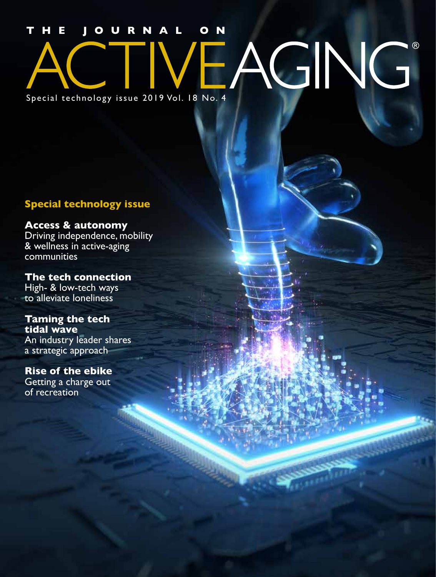## **JOURNAL** AGING® Special technology issue 2019 Vol. 18 No. 4

#### **Special technology issue**

#### **Access & autonomy**

Driving independence, mobility & wellness in active-aging communities

**The tech connection** High- & low-tech ways to alleviate loneliness

#### **Taming the tech tidal wave**

An industry leader shares a strategic approach

#### **Rise of the ebike**

Getting a charge out of recreation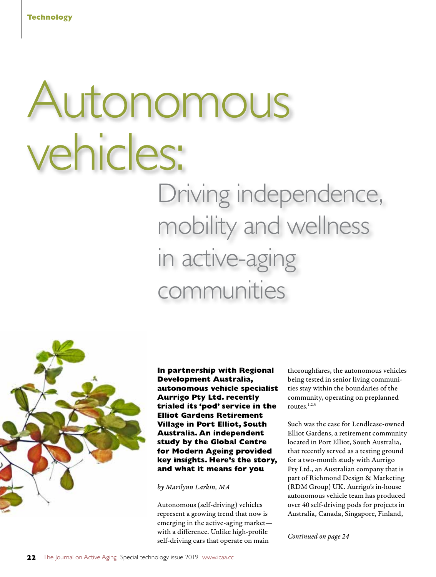# Autonomous vehicles: Driving independence,

mobility and wellness in active-aging communities



**In partnership with Regional Development Australia, autonomous vehicle specialist Aurrigo Pty Ltd. recently trialed its 'pod' service in the Elliot Gardens Retirement Village in Port Elliot, South Australia. An independent study by the Global Centre for Modern Ageing provided key insights. Here's the story, and what it means for you**

*by Marilynn Larkin, MA*

Autonomous (self-driving) vehicles represent a growing trend that now is emerging in the active-aging market with a difference. Unlike high-profile self-driving cars that operate on main

thoroughfares, the autonomous vehicles being tested in senior living communities stay within the boundaries of the community, operating on preplanned routes. $1,2,3$ 

Such was the case for Lendlease-owned Elliot Gardens, a retirement community located in Port Elliot, South Australia, that recently served as a testing ground for a two-month study with Aurrigo Pty Ltd., an Australian company that is part of Richmond Design & Marketing (RDM Group) UK. Aurrigo's in-house autonomous vehicle team has produced over 40 self-driving pods for projects in Australia, Canada, Singapore, Finland,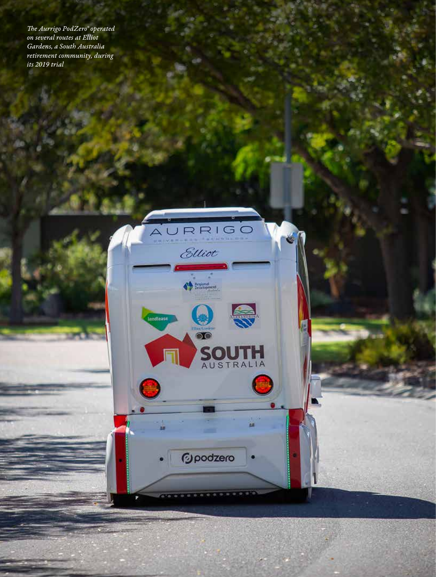*The Aurrigo PodZero® operated on several routes at Elliot Gardens, a South Australia retirement community, during its 2019 trial*

AURRIGO

Elliot

 $\begin{picture}(180,10) \put(0,0){\line(1,0){10}} \put(10,0){\line(1,0){10}} \put(10,0){\line(1,0){10}} \put(10,0){\line(1,0){10}} \put(10,0){\line(1,0){10}} \put(10,0){\line(1,0){10}} \put(10,0){\line(1,0){10}} \put(10,0){\line(1,0){10}} \put(10,0){\line(1,0){10}} \put(10,0){\line(1,0){10}} \put(10,0){\line(1,0){10}} \put(10,0){\line($ 

*<u>Dpodzero</u>* 

lendtease

н

SOUTH

ww.icaa.com/www.icaa.com/www.icaa.cc Vol. 18 No. 4 The Journal on Active Aging Aging Aging Aging Aging Aging Aging Aging Aging Aging Aging Aging Aging Aging Aging Aging Aging Aging Aging Aging Aging Aging Aging Aging Aging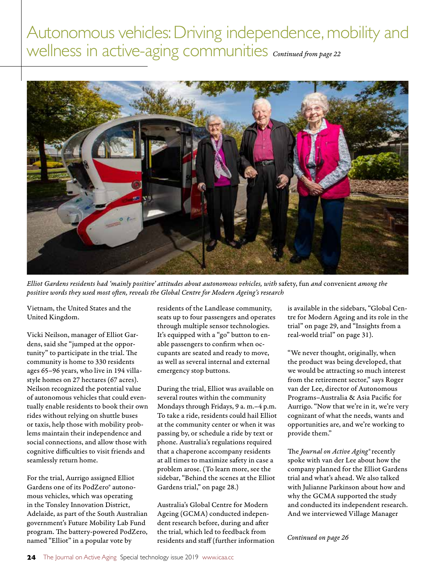

*Elliot Gardens residents had 'mainly positive' attitudes about autonomous vehicles, with* safety, fun *and* convenient *among the positive words they used most often, reveals the Global Centre for Modern Ageing's research*

Vietnam, the United States and the United Kingdom.

Vicki Neilson, manager of Elliot Gardens, said she "jumped at the opportunity" to participate in the trial. The community is home to 330 residents ages 65–96 years, who live in 194 villastyle homes on 27 hectares (67 acres). Neilson recognized the potential value of autonomous vehicles that could eventually enable residents to book their own rides without relying on shuttle buses or taxis, help those with mobility problems maintain their independence and social connections, and allow those with cognitive difficulties to visit friends and seamlessly return home.

For the trial, Aurrigo assigned Elliot Gardens one of its PodZero® autonomous vehicles, which was operating in the Tonsley Innovation District, Adelaide, as part of the South Australian government's Future Mobility Lab Fund program. The battery-powered PodZero, named "Elliot" in a popular vote by

residents of the Landlease community, seats up to four passengers and operates through multiple sensor technologies. It's equipped with a "go" button to enable passengers to confirm when occupants are seated and ready to move, as well as several internal and external emergency stop buttons.

During the trial, Elliot was available on several routes within the community Mondays through Fridays, 9 a. m.–4 p.m. To take a ride, residents could hail Elliot at the community center or when it was passing by, or schedule a ride by text or phone. Australia's regulations required that a chaperone accompany residents at all times to maximize safety in case a problem arose. (To learn more, see the sidebar, "Behind the scenes at the Elliot Gardens trial," on page 28.)

Australia's Global Centre for Modern Ageing (GCMA) conducted independent research before, during and after the trial, which led to feedback from residents and staff (further information is available in the sidebars, "Global Centre for Modern Ageing and its role in the trial" on page 29, and "Insights from a real-world trial" on page 31).

"We never thought, originally, when the product was being developed, that we would be attracting so much interest from the retirement sector," says Roger van der Lee, director of Autonomous Programs–Australia & Asia Pacific for Aurrigo. "Now that we're in it, we're very cognizant of what the needs, wants and opportunities are, and we're working to provide them."

The *Journal on Active Aging®* recently spoke with van der Lee about how the company planned for the Elliot Gardens trial and what's ahead. We also talked with Julianne Parkinson about how and why the GCMA supported the study and conducted its independent research. And we interviewed Village Manager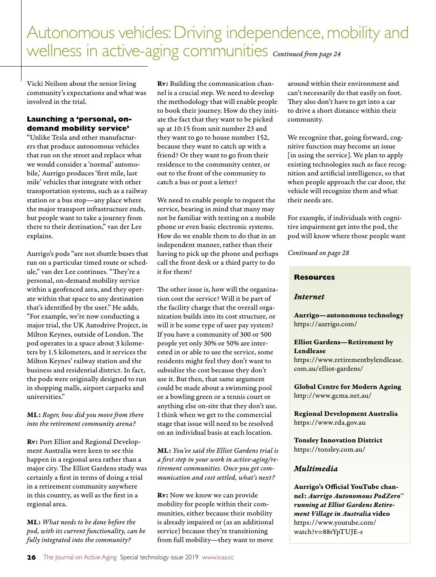Vicki Neilson about the senior living community's expectations and what was involved in the trial.

#### **Launching a 'personal, ondemand mobility service'**

"Unlike Tesla and other manufacturers that produce autonomous vehicles that run on the street and replace what we would consider a 'normal' automobile,' Aurrigo produces 'first mile, last mile' vehicles that integrate with other transportation systems, such as a railway station or a bus stop—any place where the major transport infrastructure ends, but people want to take a journey from there to their destination," van der Lee explains.

Aurrigo's pods "are not shuttle buses that run on a particular timed route or schedule," van der Lee continues. "They're a personal, on-demand mobility service within a geofenced area, and they operate within that space to any destination that's identified by the user." He adds, "For example, we're now conducting a major trial, the UK Autodrive Project, in Milton Keynes, outside of London. The pod operates in a space about 3 kilometers by 1.5 kilometers, and it services the Milton Keynes' railway station and the business and residential district. In fact, the pods were originally designed to run in shopping malls, airport carparks and universities."

#### ML: *Roger, how did you move from there into the retirement community arena?*

Rv: Port Elliot and Regional Development Australia were keen to see this happen in a regional area rather than a major city. The Elliot Gardens study was certainly a first in terms of doing a trial in a retirement community anywhere in this country, as well as the first in a regional area.

ML: *What needs to be done before the pod, with its current functionality, can be fully integrated into the community?*

Rv: Building the communication channel is a crucial step. We need to develop the methodology that will enable people to book their journey. How do they initiate the fact that they want to be picked up at 10:15 from unit number 23 and they want to go to house number 152, because they want to catch up with a friend? Or they want to go from their residence to the community center, or out to the front of the community to catch a bus or post a letter?

We need to enable people to request the service, bearing in mind that many may not be familiar with texting on a mobile phone or even basic electronic systems. How do we enable them to do that in an independent manner, rather than their having to pick up the phone and perhaps call the front desk or a third party to do it for them?

The other issue is, how will the organization cost the service? Will it be part of the facility charge that the overall organization builds into its cost structure, or will it be some type of user pay system? If you have a community of 300 or 500 people yet only 30% or 50% are interested in or able to use the service, some residents might feel they don't want to subsidize the cost because they don't use it. But then, that same argument could be made about a swimming pool or a bowling green or a tennis court or anything else on-site that they don't use. I think when we get to the commercial stage that issue will need to be resolved on an individual basis at each location.

ML: *You've said the Elliot Gardens trial is a first step in your work in active-aging/retirement communities. Once you get communication and cost settled, what's next?*

Rv: Now we know we can provide mobility for people within their communities, either because their mobility is already impaired or (as an additional service) because they're transitioning from full mobility—they want to move

around within their environment and can't necessarily do that easily on foot. They also don't have to get into a car to drive a short distance within their community.

We recognize that, going forward, cognitive function may become an issue [in using the service]. We plan to apply existing technologies such as face recognition and artificial intelligence, so that when people approach the car door, the vehicle will recognize them and what their needs are.

For example, if individuals with cognitive impairment get into the pod, the pod will know where those people want

*Continued on page 28*

#### **Resources**

#### *Internet*

Aurrigo—autonomous technology https://aurrigo.com/

#### Elliot Gardens—Retirement by Lendlease

https://www.retirementbylendlease. com.au/elliot-gardens/

Global Centre for Modern Ageing http://www.gcma.net.au/

Regional Development Australia https://www.rda.gov.au

Tonsley Innovation District https://tonsley.com.au/

#### *Multimedia*

Aurrigo's Official YouTube channel: *Aurrigo Autonomous PodZero™ running at Elliot Gardens Retirement Village in Australia* video https://www.youtube.com/ watch?v=88rYpTUJE-s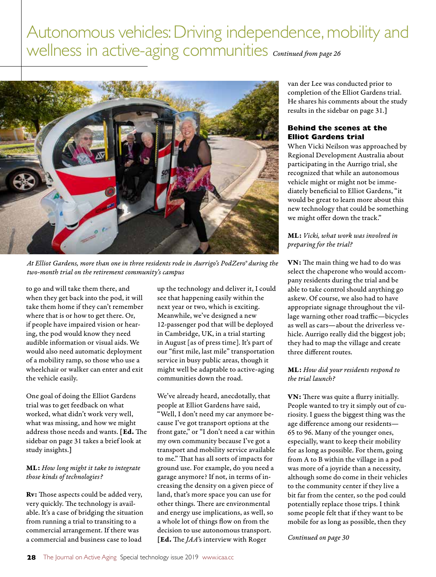

*At Elliot Gardens, more than one in three residents rode in Aurrigo's PodZero® during the two-month trial on the retirement community's campus*

to go and will take them there, and when they get back into the pod, it will take them home if they can't remember where that is or how to get there. Or, if people have impaired vision or hearing, the pod would know they need audible information or visual aids. We would also need automatic deployment of a mobility ramp, so those who use a wheelchair or walker can enter and exit the vehicle easily.

One goal of doing the Elliot Gardens trial was to get feedback on what worked, what didn't work very well, what was missing, and how we might address those needs and wants. [Ed. The sidebar on page 31 takes a brief look at study insights.]

#### ML: *How long might it take to integrate those kinds of technologies?*

Rv: Those aspects could be added very, very quickly. The technology is available. It's a case of bridging the situation from running a trial to transiting to a commercial arrangement. If there was a commercial and business case to load

up the technology and deliver it, I could see that happening easily within the next year or two, which is exciting. Meanwhile, we've designed a new 12-passenger pod that will be deployed in Cambridge, UK, in a trial starting in August [as of press time]. It's part of our "first mile, last mile" transportation service in busy public areas, though it might well be adaptable to active-aging communities down the road.

We've already heard, anecdotally, that people at Elliot Gardens have said, "Well, I don't need my car anymore because I've got transport options at the front gate," or "I don't need a car within my own community because I've got a transport and mobility service available to me." That has all sorts of impacts for ground use. For example, do you need a garage anymore? If not, in terms of increasing the density on a given piece of land, that's more space you can use for other things. There are environmental and energy use implications, as well, so a whole lot of things flow on from the decision to use autonomous transport. [Ed. The *JAA'*s interview with Roger

van der Lee was conducted prior to completion of the Elliot Gardens trial. He shares his comments about the study results in the sidebar on page 31.]

#### **Behind the scenes at the Elliot Gardens trial**

When Vicki Neilson was approached by Regional Development Australia about participating in the Aurrigo trial, she recognized that while an autonomous vehicle might or might not be immediately beneficial to Elliot Gardens, "it would be great to learn more about this new technology that could be something we might offer down the track."

#### ML: *Vicki, what work was involved in preparing for the trial?*

VN: The main thing we had to do was select the chaperone who would accompany residents during the trial and be able to take control should anything go askew. Of course, we also had to have appropriate signage throughout the village warning other road traffic—bicycles as well as cars—about the driverless vehicle. Aurrigo really did the biggest job; they had to map the village and create three different routes.

#### ML: *How did your residents respond to the trial launch?*

VN: There was quite a flurry initially. People wanted to try it simply out of curiosity. I guess the biggest thing was the age difference among our residents— 65 to 96. Many of the younger ones, especially, want to keep their mobility for as long as possible. For them, going from A to B within the village in a pod was more of a joyride than a necessity, although some do come in their vehicles to the community center if they live a bit far from the center, so the pod could potentially replace those trips. I think some people felt that if they want to be mobile for as long as possible, then they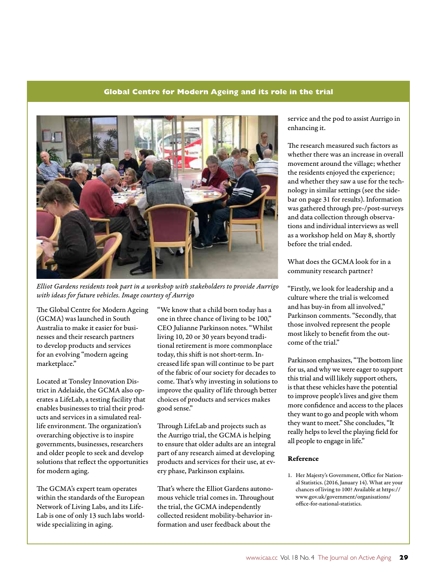#### **Global Centre for Modern Ageing and its role in the trial**



*Elliot Gardens residents took part in a workshop with stakeholders to provide Aurrigo with ideas for future vehicles. Image courtesy of Aurrigo*

The Global Centre for Modern Ageing (GCMA) was launched in South Australia to make it easier for businesses and their research partners to develop products and services for an evolving "modern ageing marketplace."

Located at Tonsley Innovation District in Adelaide, the GCMA also operates a LifeLab, a testing facility that enables businesses to trial their products and services in a simulated reallife environment. The organization's overarching objective is to inspire governments, businesses, researchers and older people to seek and develop solutions that reflect the opportunities for modern aging.

The GCMA's expert team operates within the standards of the European Network of Living Labs, and its Life-Lab is one of only 13 such labs worldwide specializing in aging.

"We know that a child born today has a one in three chance of living to be 100," CEO Julianne Parkinson notes. "Whilst living 10, 20 or 30 years beyond traditional retirement is more commonplace today, this shift is not short-term. Increased life span will continue to be part of the fabric of our society for decades to come. That's why investing in solutions to improve the quality of life through better choices of products and services makes good sense."

Through LifeLab and projects such as the Aurrigo trial, the GCMA is helping to ensure that older adults are an integral part of any research aimed at developing products and services for their use, at every phase, Parkinson explains.

That's where the Elliot Gardens autonomous vehicle trial comes in. Throughout the trial, the GCMA independently collected resident mobility-behavior information and user feedback about the

service and the pod to assist Aurrigo in enhancing it.

The research measured such factors as whether there was an increase in overall movement around the village; whether the residents enjoyed the experience; and whether they saw a use for the technology in similar settings (see the sidebar on page 31 for results). Information was gathered through pre-/post-surveys and data collection through observations and individual interviews as well as a workshop held on May 8, shortly before the trial ended.

What does the GCMA look for in a community research partner?

"Firstly, we look for leadership and a culture where the trial is welcomed and has buy-in from all involved," Parkinson comments. "Secondly, that those involved represent the people most likely to benefit from the outcome of the trial."

Parkinson emphasizes, "The bottom line for us, and why we were eager to support this trial and will likely support others, is that these vehicles have the potential to improve people's lives and give them more confidence and access to the places they want to go and people with whom they want to meet." She concludes, "It really helps to level the playing field for all people to engage in life."

#### Reference

1. Her Majesty's Government, Office for National Statistics. (2016, January 14). What are your chances of living to 100? Available at https:// www.gov.uk/government/organisations/ office-for-national-statistics.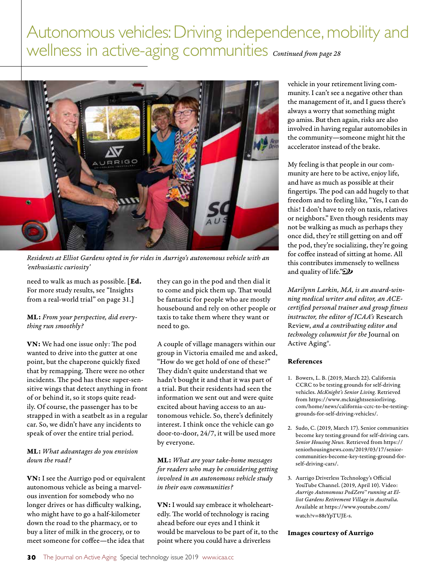

*Residents at Elliot Gardens opted in for rides in Aurrigo's autonomous vehicle with an 'enthusiastic curiosity'* 

need to walk as much as possible. [Ed. For more study results, see "Insights from a real-world trial" on page 31.]

#### ML: *From your perspective, did everything run smoothly?*

VN: We had one issue only: The pod wanted to drive into the gutter at one point, but the chaperone quickly fixed that by remapping. There were no other incidents. The pod has these super-sensitive wings that detect anything in front of or behind it, so it stops quite readily. Of course, the passenger has to be strapped in with a seatbelt as in a regular car. So, we didn't have any incidents to speak of over the entire trial period.

#### ML: *What advantages do you envision down the road?*

VN: I see the Aurrigo pod or equivalent autonomous vehicle as being a marvelous invention for somebody who no longer drives or has difficulty walking, who might have to go a half-kilometer down the road to the pharmacy, or to buy a liter of milk in the grocery, or to meet someone for coffee—the idea that

they can go in the pod and then dial it to come and pick them up. That would be fantastic for people who are mostly housebound and rely on other people or taxis to take them where they want or need to go.

A couple of village managers within our group in Victoria emailed me and asked, "How do we get hold of one of these?" They didn't quite understand that we hadn't bought it and that it was part of a trial. But their residents had seen the information we sent out and were quite excited about having access to an autonomous vehicle. So, there's definitely interest. I think once the vehicle can go door-to-door, 24/7, it will be used more by everyone.

ML: *What are your take-home messages for readers who may be considering getting involved in an autonomous vehicle study in their own communities?*

VN: I would say embrace it wholeheartedly. The world of technology is racing ahead before our eyes and I think it would be marvelous to be part of it, to the point where you could have a driverless

vehicle in your retirement living community. I can't see a negative other than the management of it, and I guess there's always a worry that something might go amiss. But then again, risks are also involved in having regular automobiles in the community—someone might hit the accelerator instead of the brake.

My feeling is that people in our community are here to be active, enjoy life, and have as much as possible at their fingertips. The pod can add hugely to that freedom and to feeling like, "Yes, I can do this! I don't have to rely on taxis, relatives or neighbors." Even though residents may not be walking as much as perhaps they once did, they're still getting on and off the pod, they're socializing, they're going for coffee instead of sitting at home. All this contributes immensely to wellness and quality of life." $\mathcal{D}$ 

*Marilynn Larkin, MA, is an award-winning medical writer and editor, an ACEcertified personal trainer and group fitness instructor, the editor of ICAA's* Research Review, *and a contributing editor and technology columnist for the* Journal on Active Aging®.

#### References

- 1. Bowers, L. B. (2019, March 22). California CCRC to be testing grounds for self-driving vehicles. *McKnight's Senior Living.* Retrieved from https://www.mcknightsseniorliving. com/home/news/california-ccrc-to-be-testinggrounds-for-self-driving-vehicles/.
- 2. Sudo, C. (2019, March 17). Senior communities become key testing ground for self-driving cars. *Senior Housing News.* Retrieved from https:// seniorhousingnews.com/2019/03/17/seniorcommunities-become-key-testing-ground-forself-driving-cars/.
- 3. Aurrigo Driverless Technology's Official YouTube Channel. (2019, April 10). Video: *Aurrigo Autonomous PodZero™ running at Elliot Gardens Retirement Village in Australia*. Available at https://www.youtube.com/ watch?v=88rYpTUJE-s.

#### Images courtesy of Aurrigo